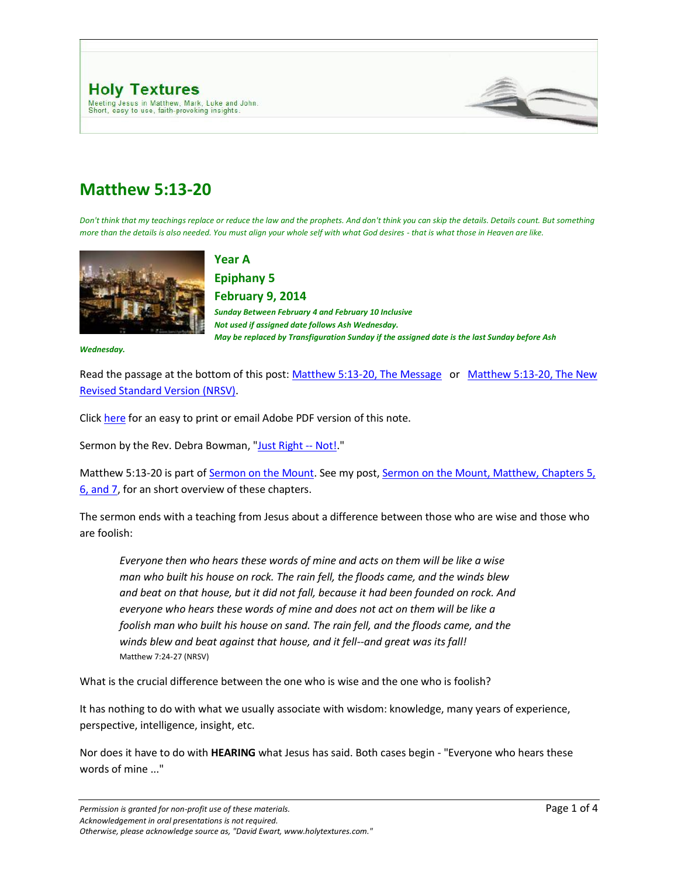

# **Matthew 5:13-20**

*Don't think that my teachings replace or reduce the law and the prophets. And don't think you can skip the details. Details count. But something more than the details is also needed. You must align your whole self with what God desires - that is what those in Heaven are like.*



**Year A** 

**Epiphany 5 February 9, 2014** 

*Sunday Between February 4 and February 10 Inclusive Not used if assigned date follows Ash Wednesday. May be replaced by Transfiguration Sunday if the assigned date is the last Sunday before Ash* 

*Wednesday.*

Read the passage at the bottom of this post[: Matthew 5:13-20, The Message](http://www.holytextures.com/2011/01/matthew-5-13-20-year-a-epiphany-5-february-4-february-10-sermon.html#MSG) or Matthew 5:13-20, The New [Revised Standard Version \(NRSV\).](http://www.holytextures.com/2011/01/matthew-5-13-20-year-a-epiphany-5-february-4-february-10-sermon.html#NRSV)

Click [here](http://www.holytextures.com/Matthew-05-13-20.pdf) for an easy to print or email Adobe PDF version of this note.

Sermon by the Rev. Debra Bowman, ["Just Right --](http://www.holytextures.com/Just-Right-Not-Sermon-Debra-Bowman.pdf) Not!."

Matthew 5:13-20 is part of [Sermon on the Mount.](http://www.holytextures.com/2008/06/sermon-on-the-m.html) See my post, Sermon on the Mount, Matthew, Chapters 5, [6, and 7,](http://www.holytextures.com/2008/06/sermon-on-the-m.html) for an short overview of these chapters.

The sermon ends with a teaching from Jesus about a difference between those who are wise and those who are foolish:

*Everyone then who hears these words of mine and acts on them will be like a wise man who built his house on rock. The rain fell, the floods came, and the winds blew and beat on that house, but it did not fall, because it had been founded on rock. And everyone who hears these words of mine and does not act on them will be like a foolish man who built his house on sand. The rain fell, and the floods came, and the winds blew and beat against that house, and it fell--and great was its fall!* Matthew 7:24-27 (NRSV)

What is the crucial difference between the one who is wise and the one who is foolish?

It has nothing to do with what we usually associate with wisdom: knowledge, many years of experience, perspective, intelligence, insight, etc.

Nor does it have to do with **HEARING** what Jesus has said. Both cases begin - "Everyone who hears these words of mine ..."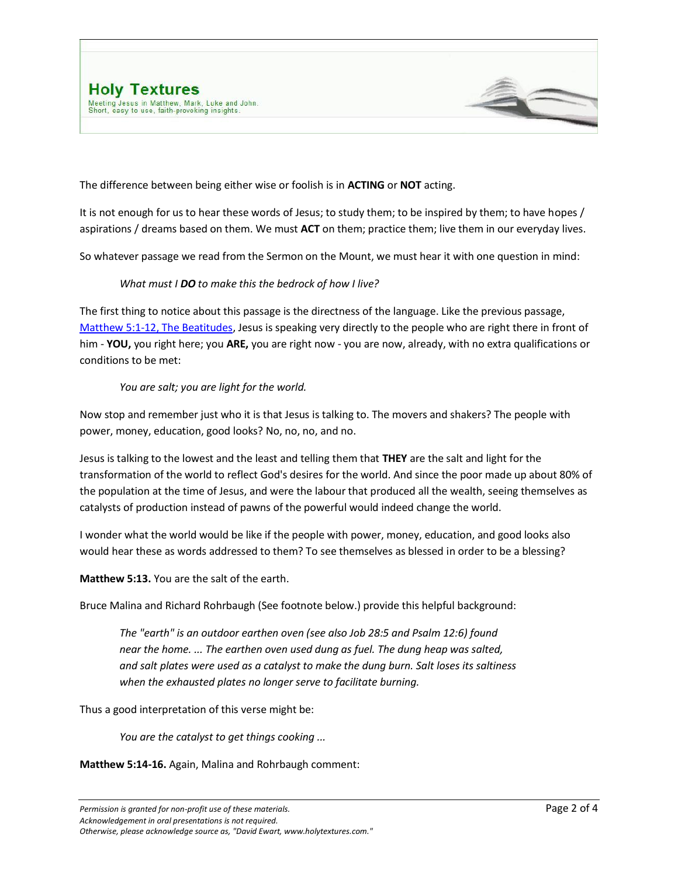



The difference between being either wise or foolish is in **ACTING** or **NOT** acting.

It is not enough for us to hear these words of Jesus; to study them; to be inspired by them; to have hopes / aspirations / dreams based on them. We must **ACT** on them; practice them; live them in our everyday lives.

So whatever passage we read from the Sermon on the Mount, we must hear it with one question in mind:

#### *What must I DO to make this the bedrock of how I live?*

The first thing to notice about this passage is the directness of the language. Like the previous passage, Matthew [5:1-12, The Beatitudes,](http://www.holytextures.com/2011/01/matthew-5-1-12-year-a-epiphany-4-january-28-february-3-sermon.html) Jesus is speaking very directly to the people who are right there in front of him - **YOU,** you right here; you **ARE,** you are right now - you are now, already, with no extra qualifications or conditions to be met:

#### *You are salt; you are light for the world.*

Now stop and remember just who it is that Jesus is talking to. The movers and shakers? The people with power, money, education, good looks? No, no, no, and no.

Jesus is talking to the lowest and the least and telling them that **THEY** are the salt and light for the transformation of the world to reflect God's desires for the world. And since the poor made up about 80% of the population at the time of Jesus, and were the labour that produced all the wealth, seeing themselves as catalysts of production instead of pawns of the powerful would indeed change the world.

I wonder what the world would be like if the people with power, money, education, and good looks also would hear these as words addressed to them? To see themselves as blessed in order to be a blessing?

**Matthew 5:13.** You are the salt of the earth.

Bruce Malina and Richard Rohrbaugh (See footnote below.) provide this helpful background:

*The "earth" is an outdoor earthen oven (see also Job 28:5 and Psalm 12:6) found near the home. ... The earthen oven used dung as fuel. The dung heap was salted, and salt plates were used as a catalyst to make the dung burn. Salt loses its saltiness when the exhausted plates no longer serve to facilitate burning.*

Thus a good interpretation of this verse might be:

*You are the catalyst to get things cooking ...*

**Matthew 5:14-16.** Again, Malina and Rohrbaugh comment: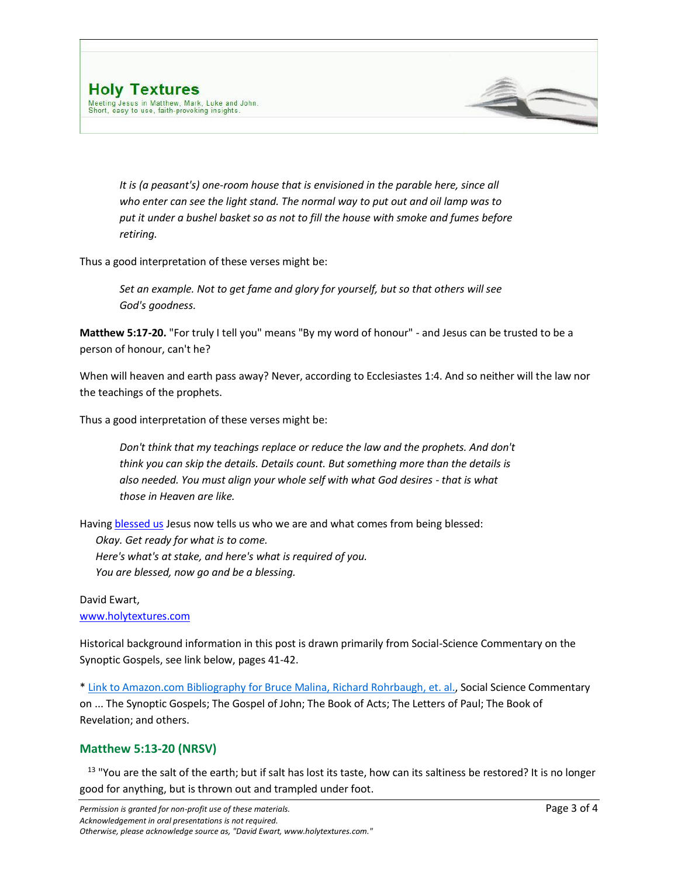

*It is (a peasant's) one-room house that is envisioned in the parable here, since all who enter can see the light stand. The normal way to put out and oil lamp was to put it under a bushel basket so as not to fill the house with smoke and fumes before retiring.*

Thus a good interpretation of these verses might be:

*Set an example. Not to get fame and glory for yourself, but so that others will see God's goodness.*

**Matthew 5:17-20.** "For truly I tell you" means "By my word of honour" - and Jesus can be trusted to be a person of honour, can't he?

When will heaven and earth pass away? Never, according to Ecclesiastes 1:4. And so neither will the law nor the teachings of the prophets.

Thus a good interpretation of these verses might be:

*Don't think that my teachings replace or reduce the law and the prophets. And don't think you can skip the details. Details count. But something more than the details is also needed. You must align your whole self with what God desires - that is what those in Heaven are like.*

Havin[g blessed us](http://www.holytextures.com/2011/01/matthew-5-1-12-year-a-epiphany-4-january-28-february-3-sermon.html) Jesus now tells us who we are and what comes from being blessed:

*Okay. Get ready for what is to come. Here's what's at stake, and here's what is required of you. You are blessed, now go and be a blessing.*

#### David Ewart, [www.holytextures.com](http://www.holytextures.com/)

Historical background information in this post is drawn primarily from Social-Science Commentary on the Synoptic Gospels, see link below, pages 41-42.

[\\* Link to Amazon.com Bibliography for Bruce Malina,](http://www.amazon.com/Bruce-J.-Malina/e/B000APRY4A/ref=ntt_athr_dp_pel_1) Richard Rohrbaugh, et. al., Social Science Commentary on ... The Synoptic Gospels; The Gospel of John; The Book of Acts; The Letters of Paul; The Book of Revelation; and others.

## **Matthew 5:13-20 (NRSV)**

 $13$  "You are the salt of the earth; but if salt has lost its taste, how can its saltiness be restored? It is no longer good for anything, but is thrown out and trampled under foot.